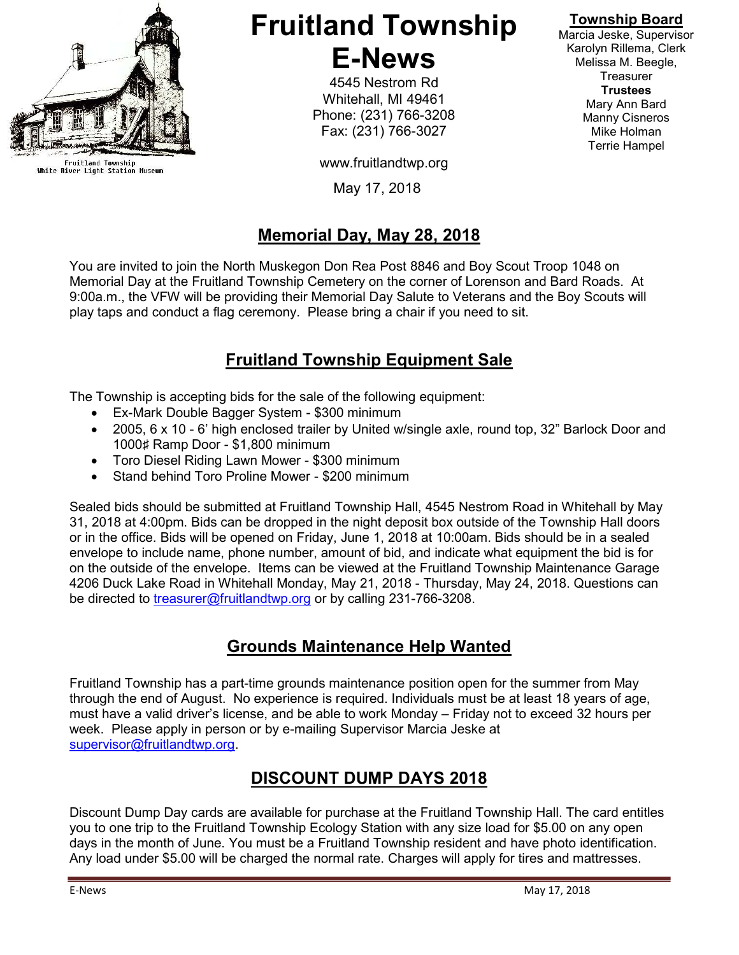

Fruitland Township<br>White River Light Station Museum

### Fruitland Township E-News

4545 Nestrom Rd Whitehall, MI 49461 Phone: (231) 766-3208 Fax: (231) 766-3027

www.fruitlandtwp.org

May 17, 2018

#### Memorial Day, May 28, 2018

You are invited to join the North Muskegon Don Rea Post 8846 and Boy Scout Troop 1048 on Memorial Day at the Fruitland Township Cemetery on the corner of Lorenson and Bard Roads. At 9:00a.m., the VFW will be providing their Memorial Day Salute to Veterans and the Boy Scouts will play taps and conduct a flag ceremony. Please bring a chair if you need to sit.

#### Fruitland Township Equipment Sale

The Township is accepting bids for the sale of the following equipment:

- Ex-Mark Double Bagger System \$300 minimum
- 2005, 6 x 10 6' high enclosed trailer by United w/single axle, round top, 32" Barlock Door and 1000♯ Ramp Door - \$1,800 minimum
- Toro Diesel Riding Lawn Mower \$300 minimum
- Stand behind Toro Proline Mower \$200 minimum

Sealed bids should be submitted at Fruitland Township Hall, 4545 Nestrom Road in Whitehall by May 31, 2018 at 4:00pm. Bids can be dropped in the night deposit box outside of the Township Hall doors or in the office. Bids will be opened on Friday, June 1, 2018 at 10:00am. Bids should be in a sealed envelope to include name, phone number, amount of bid, and indicate what equipment the bid is for on the outside of the envelope. Items can be viewed at the Fruitland Township Maintenance Garage 4206 Duck Lake Road in Whitehall Monday, May 21, 2018 - Thursday, May 24, 2018. Questions can be directed to treasurer@fruitlandtwp.org or by calling 231-766-3208.

#### Grounds Maintenance Help Wanted

Fruitland Township has a part-time grounds maintenance position open for the summer from May through the end of August. No experience is required. Individuals must be at least 18 years of age, must have a valid driver's license, and be able to work Monday – Friday not to exceed 32 hours per week. Please apply in person or by e-mailing Supervisor Marcia Jeske at supervisor@fruitlandtwp.org.

### DISCOUNT DUMP DAYS 2018

Discount Dump Day cards are available for purchase at the Fruitland Township Hall. The card entitles you to one trip to the Fruitland Township Ecology Station with any size load for \$5.00 on any open days in the month of June. You must be a Fruitland Township resident and have photo identification. Any load under \$5.00 will be charged the normal rate. Charges will apply for tires and mattresses.

#### Township Board

Marcia Jeske, Supervisor Karolyn Rillema, Clerk Melissa M. Beegle, **Treasurer Trustees** Mary Ann Bard Manny Cisneros Mike Holman Terrie Hampel